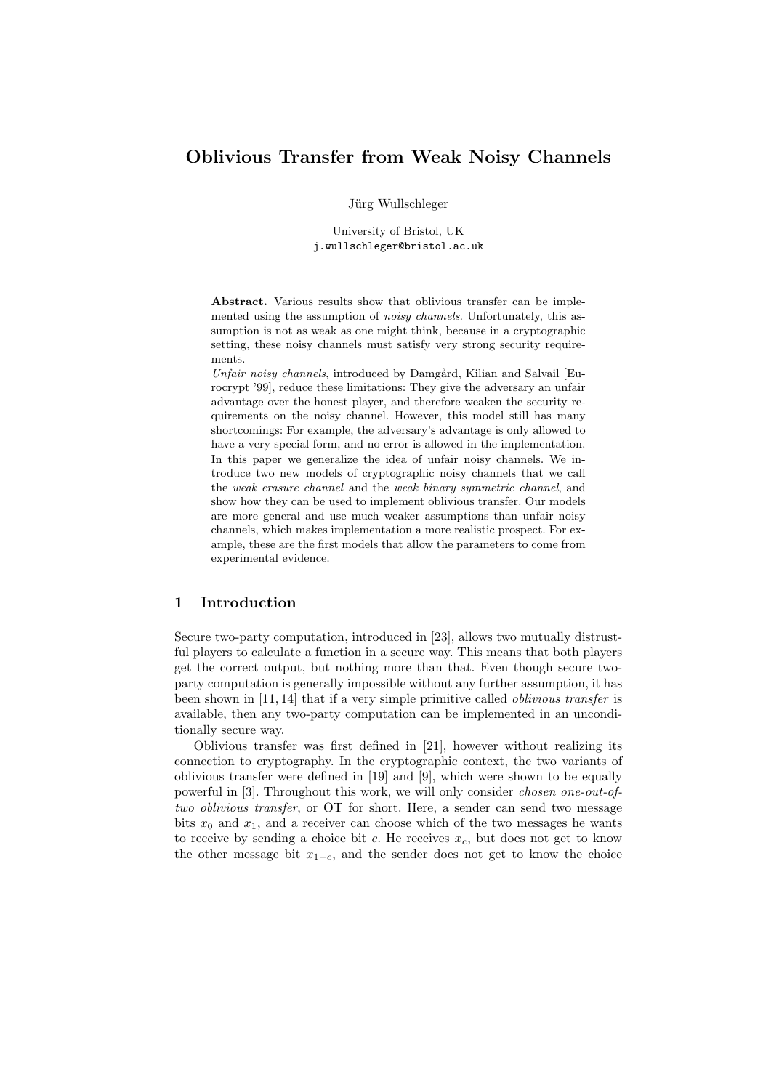# Oblivious Transfer from Weak Noisy Channels

Jürg Wullschleger

University of Bristol, UK j.wullschleger@bristol.ac.uk

Abstract. Various results show that oblivious transfer can be implemented using the assumption of noisy channels. Unfortunately, this assumption is not as weak as one might think, because in a cryptographic setting, these noisy channels must satisfy very strong security requirements.

Unfair noisy channels, introduced by Damgård, Kilian and Salvail [Eurocrypt '99], reduce these limitations: They give the adversary an unfair advantage over the honest player, and therefore weaken the security requirements on the noisy channel. However, this model still has many shortcomings: For example, the adversary's advantage is only allowed to have a very special form, and no error is allowed in the implementation. In this paper we generalize the idea of unfair noisy channels. We introduce two new models of cryptographic noisy channels that we call the weak erasure channel and the weak binary symmetric channel, and show how they can be used to implement oblivious transfer. Our models are more general and use much weaker assumptions than unfair noisy channels, which makes implementation a more realistic prospect. For example, these are the first models that allow the parameters to come from experimental evidence.

## 1 Introduction

Secure two-party computation, introduced in [23], allows two mutually distrustful players to calculate a function in a secure way. This means that both players get the correct output, but nothing more than that. Even though secure twoparty computation is generally impossible without any further assumption, it has been shown in [11, 14] that if a very simple primitive called oblivious transfer is available, then any two-party computation can be implemented in an unconditionally secure way.

Oblivious transfer was first defined in [21], however without realizing its connection to cryptography. In the cryptographic context, the two variants of oblivious transfer were defined in [19] and [9], which were shown to be equally powerful in [3]. Throughout this work, we will only consider chosen one-out-oftwo oblivious transfer, or OT for short. Here, a sender can send two message bits  $x_0$  and  $x_1$ , and a receiver can choose which of the two messages he wants to receive by sending a choice bit c. He receives  $x_c$ , but does not get to know the other message bit  $x_{1-c}$ , and the sender does not get to know the choice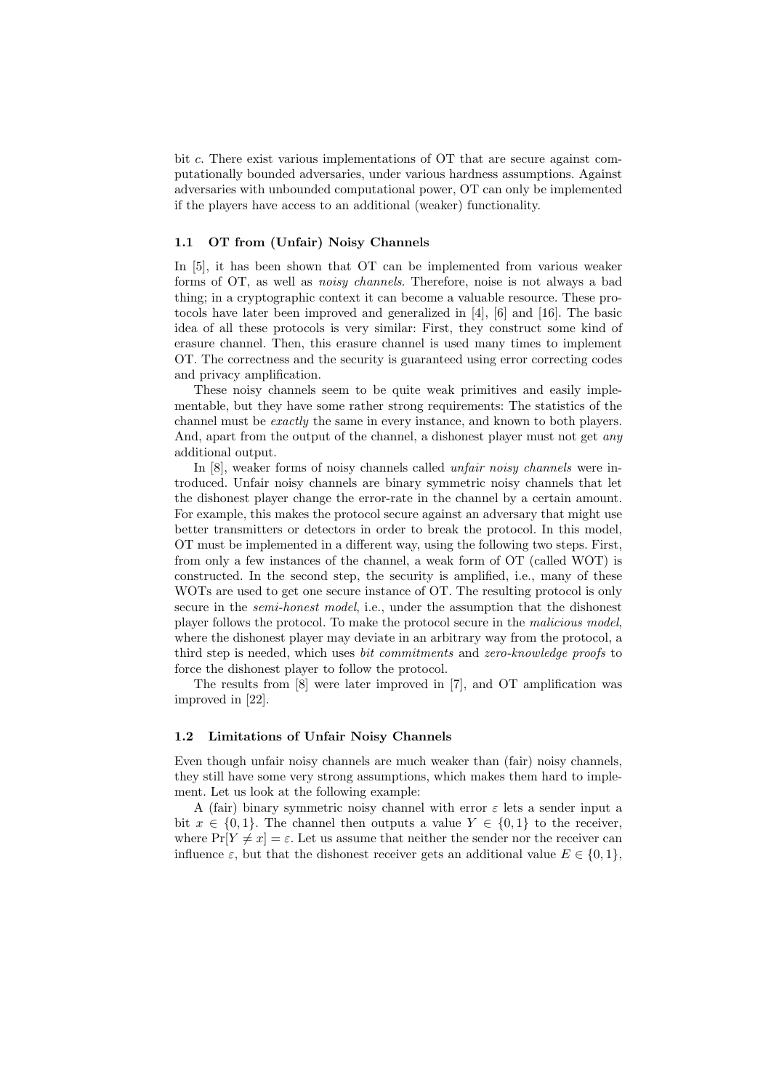bit c. There exist various implementations of OT that are secure against computationally bounded adversaries, under various hardness assumptions. Against adversaries with unbounded computational power, OT can only be implemented if the players have access to an additional (weaker) functionality.

#### 1.1 OT from (Unfair) Noisy Channels

In [5], it has been shown that OT can be implemented from various weaker forms of OT, as well as noisy channels. Therefore, noise is not always a bad thing; in a cryptographic context it can become a valuable resource. These protocols have later been improved and generalized in [4], [6] and [16]. The basic idea of all these protocols is very similar: First, they construct some kind of erasure channel. Then, this erasure channel is used many times to implement OT. The correctness and the security is guaranteed using error correcting codes and privacy amplification.

These noisy channels seem to be quite weak primitives and easily implementable, but they have some rather strong requirements: The statistics of the channel must be *exactly* the same in every instance, and known to both players. And, apart from the output of the channel, a dishonest player must not get *any* additional output.

In [8], weaker forms of noisy channels called *unfair noisy channels* were introduced. Unfair noisy channels are binary symmetric noisy channels that let the dishonest player change the error-rate in the channel by a certain amount. For example, this makes the protocol secure against an adversary that might use better transmitters or detectors in order to break the protocol. In this model, OT must be implemented in a different way, using the following two steps. First, from only a few instances of the channel, a weak form of OT (called WOT) is constructed. In the second step, the security is amplified, i.e., many of these WOTs are used to get one secure instance of OT. The resulting protocol is only secure in the *semi-honest model*, i.e., under the assumption that the dishonest player follows the protocol. To make the protocol secure in the malicious model, where the dishonest player may deviate in an arbitrary way from the protocol, a third step is needed, which uses bit commitments and zero-knowledge proofs to force the dishonest player to follow the protocol.

The results from [8] were later improved in [7], and OT amplification was improved in [22].

### 1.2 Limitations of Unfair Noisy Channels

Even though unfair noisy channels are much weaker than (fair) noisy channels, they still have some very strong assumptions, which makes them hard to implement. Let us look at the following example:

A (fair) binary symmetric noisy channel with error  $\varepsilon$  lets a sender input a bit  $x \in \{0,1\}$ . The channel then outputs a value  $Y \in \{0,1\}$  to the receiver, where  $Pr[Y \neq x] = \varepsilon$ . Let us assume that neither the sender nor the receiver can influence  $\varepsilon$ , but that the dishonest receiver gets an additional value  $E \in \{0, 1\}$ ,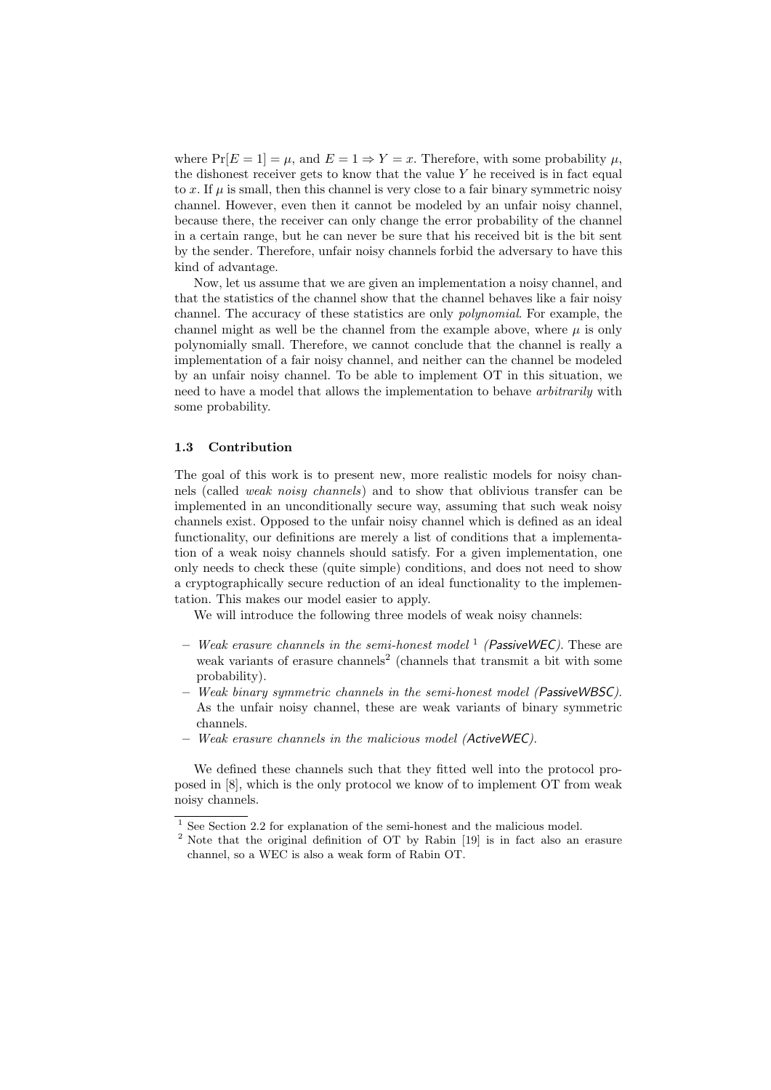where  $Pr[E = 1] = \mu$ , and  $E = 1 \Rightarrow Y = x$ . Therefore, with some probability  $\mu$ , the dishonest receiver gets to know that the value  $Y$  he received is in fact equal to x. If  $\mu$  is small, then this channel is very close to a fair binary symmetric noisy channel. However, even then it cannot be modeled by an unfair noisy channel, because there, the receiver can only change the error probability of the channel in a certain range, but he can never be sure that his received bit is the bit sent by the sender. Therefore, unfair noisy channels forbid the adversary to have this kind of advantage.

Now, let us assume that we are given an implementation a noisy channel, and that the statistics of the channel show that the channel behaves like a fair noisy channel. The accuracy of these statistics are only polynomial. For example, the channel might as well be the channel from the example above, where  $\mu$  is only polynomially small. Therefore, we cannot conclude that the channel is really a implementation of a fair noisy channel, and neither can the channel be modeled by an unfair noisy channel. To be able to implement OT in this situation, we need to have a model that allows the implementation to behave *arbitrarily* with some probability.

## 1.3 Contribution

The goal of this work is to present new, more realistic models for noisy channels (called weak noisy channels) and to show that oblivious transfer can be implemented in an unconditionally secure way, assuming that such weak noisy channels exist. Opposed to the unfair noisy channel which is defined as an ideal functionality, our definitions are merely a list of conditions that a implementation of a weak noisy channels should satisfy. For a given implementation, one only needs to check these (quite simple) conditions, and does not need to show a cryptographically secure reduction of an ideal functionality to the implementation. This makes our model easier to apply.

We will introduce the following three models of weak noisy channels:

- Weak erasure channels in the semi-honest model  $^1$  (PassiveWEC). These are weak variants of erasure channels<sup>2</sup> (channels that transmit a bit with some probability).
- Weak binary symmetric channels in the semi-honest model (PassiveWBSC). As the unfair noisy channel, these are weak variants of binary symmetric channels.
- Weak erasure channels in the malicious model (ActiveWEC).

We defined these channels such that they fitted well into the protocol proposed in [8], which is the only protocol we know of to implement OT from weak noisy channels.

 $^{\rm 1}$  See Section 2.2 for explanation of the semi-honest and the malicious model.

<sup>2</sup> Note that the original definition of OT by Rabin [19] is in fact also an erasure channel, so a WEC is also a weak form of Rabin OT.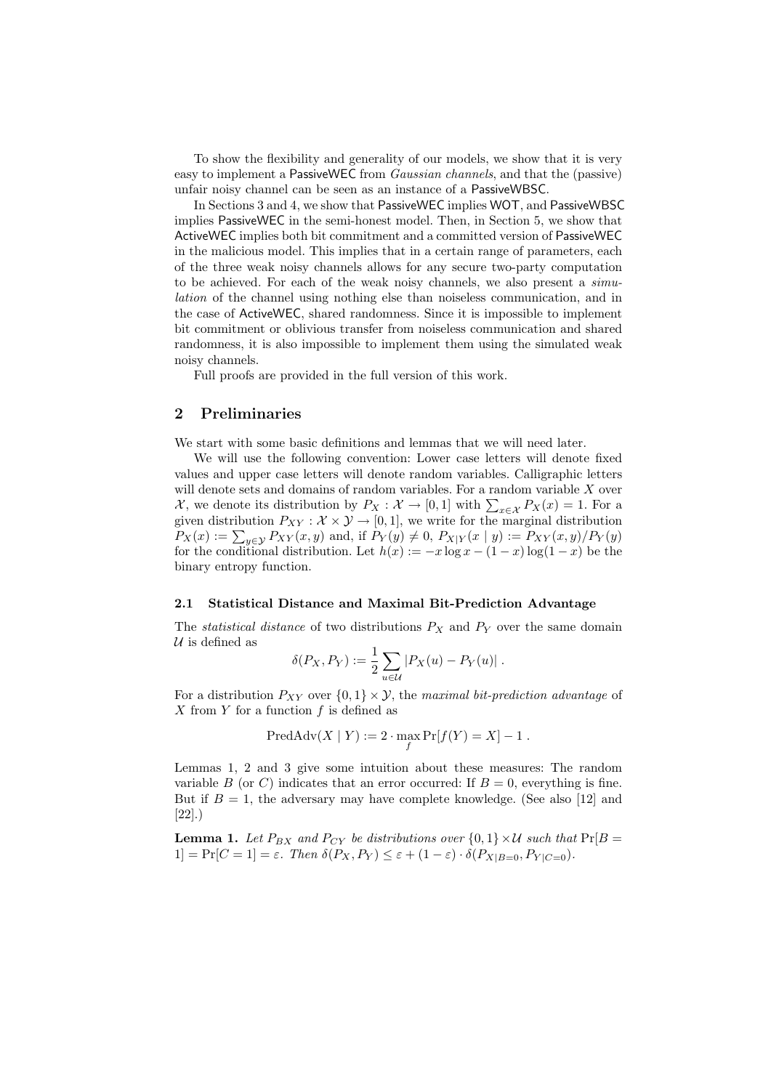To show the flexibility and generality of our models, we show that it is very easy to implement a PassiveWEC from Gaussian channels, and that the (passive) unfair noisy channel can be seen as an instance of a PassiveWBSC.

In Sections 3 and 4, we show that PassiveWEC implies WOT, and PassiveWBSC implies PassiveWEC in the semi-honest model. Then, in Section 5, we show that ActiveWEC implies both bit commitment and a committed version of PassiveWEC in the malicious model. This implies that in a certain range of parameters, each of the three weak noisy channels allows for any secure two-party computation to be achieved. For each of the weak noisy channels, we also present a simulation of the channel using nothing else than noiseless communication, and in the case of ActiveWEC, shared randomness. Since it is impossible to implement bit commitment or oblivious transfer from noiseless communication and shared randomness, it is also impossible to implement them using the simulated weak noisy channels.

Full proofs are provided in the full version of this work.

## 2 Preliminaries

We start with some basic definitions and lemmas that we will need later.

We will use the following convention: Lower case letters will denote fixed values and upper case letters will denote random variables. Calligraphic letters will denote sets and domains of random variables. For a random variable X over X, we denote its distribution by  $P_X : \mathcal{X} \to [0,1]$  with  $\sum_{x \in \mathcal{X}} P_X(x) = 1$ . For a given distribution  $P_{XY}$ :  $\mathcal{X} \times \mathcal{Y} \rightarrow [0, 1]$ , we write for the marginal distribution  $P_X(x) := \sum_{y \in \mathcal{Y}} P_{XY}(x, y)$  and, if  $P_Y(y) \neq 0$ ,  $P_{X|Y}(x \mid y) := P_{XY}(x, y) / P_Y(y)$ for the conditional distribution. Let  $h(x) := -x \log x - (1-x) \log(1-x)$  be the binary entropy function.

#### 2.1 Statistical Distance and Maximal Bit-Prediction Advantage

The *statistical distance* of two distributions  $P_X$  and  $P_Y$  over the same domain  $\mathcal U$  is defined as

$$
\delta(P_X, P_Y) := \frac{1}{2} \sum_{u \in \mathcal{U}} |P_X(u) - P_Y(u)|.
$$

For a distribution  $P_{XY}$  over  $\{0,1\} \times \mathcal{Y}$ , the maximal bit-prediction advantage of  $X$  from  $Y$  for a function  $f$  is defined as

$$
PredAdv(X | Y) := 2 \cdot \max_{f} Pr[f(Y) = X] - 1.
$$

Lemmas 1, 2 and 3 give some intuition about these measures: The random variable B (or C) indicates that an error occurred: If  $B = 0$ , everything is fine. But if  $B = 1$ , the adversary may have complete knowledge. (See also [12] and [22].)

**Lemma 1.** Let  $P_{BX}$  and  $P_{CY}$  be distributions over  $\{0,1\} \times U$  such that  $Pr[B =$  $1] = Pr[C = 1] = \varepsilon$ . Then  $\delta(P_X, P_Y) \leq \varepsilon + (1 - \varepsilon) \cdot \delta(P_{X|B=0}, P_{Y|C=0}).$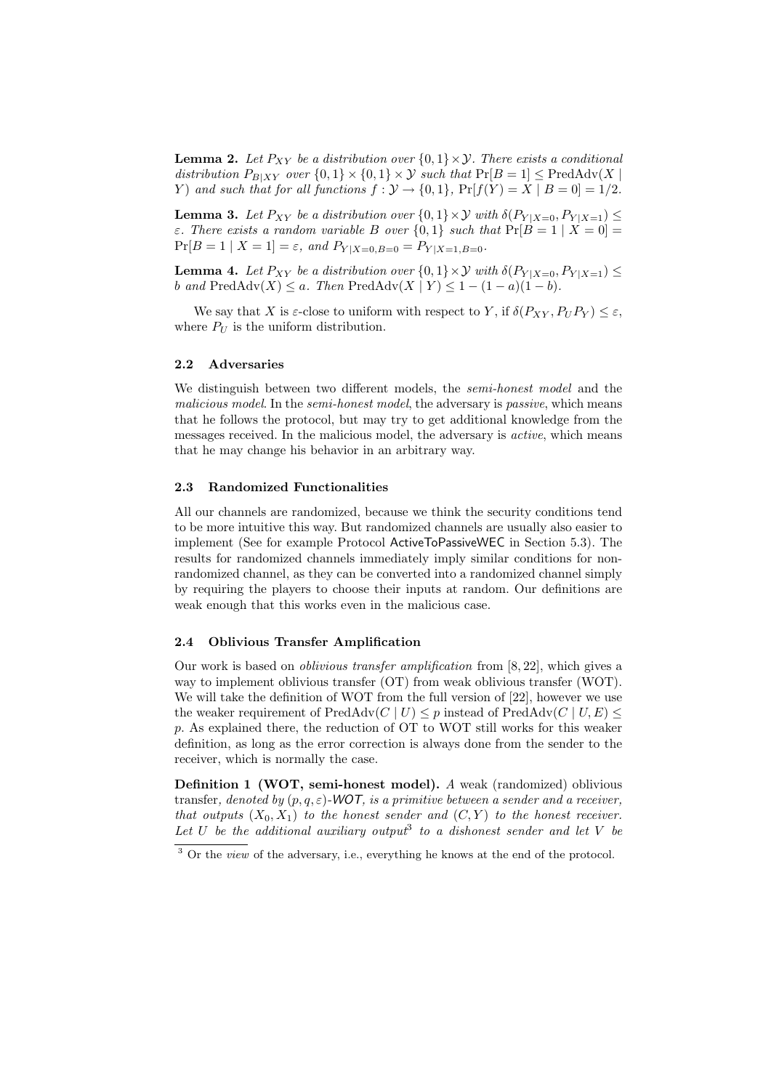**Lemma 2.** Let  $P_{XY}$  be a distribution over  $\{0,1\} \times \mathcal{Y}$ . There exists a conditional distribution  $P_{B|XY}$  over  $\{0,1\} \times \{0,1\} \times \mathcal{Y}$  such that  $\Pr[B=1] \leq \Pr{\text{edAdv}(X)}$ Y) and such that for all functions  $f: \mathcal{Y} \to \{0,1\}$ ,  $\Pr[f(Y) = X | B = 0] = 1/2$ .

**Lemma 3.** Let  $P_{XY}$  be a distribution over  $\{0,1\} \times \mathcal{Y}$  with  $\delta(P_{Y|X=0}, P_{Y|X=1}) \leq$ ε. There exists a random variable B over  $\{0,1\}$  such that  $Pr[B = 1 | X = 0] =$  $Pr[B = 1 | X = 1] = \varepsilon$ , and  $P_{Y|X=0,B=0} = P_{Y|X=1,B=0}$ .

**Lemma 4.** Let  $P_{XY}$  be a distribution over  $\{0,1\} \times \mathcal{Y}$  with  $\delta(P_{Y|X=0}, P_{Y|X=1}) \leq$ b and  $\text{PredAdv}(X) \leq a$ . Then  $\text{PredAdv}(X \mid Y) \leq 1 - (1 - a)(1 - b)$ .

We say that X is  $\varepsilon$ -close to uniform with respect to Y, if  $\delta(P_{XY}, P_{U} P_{Y}) \leq \varepsilon$ , where  $P_U$  is the uniform distribution.

#### 2.2 Adversaries

We distinguish between two different models, the *semi-honest model* and the malicious model. In the semi-honest model, the adversary is passive, which means that he follows the protocol, but may try to get additional knowledge from the messages received. In the malicious model, the adversary is active, which means that he may change his behavior in an arbitrary way.

#### 2.3 Randomized Functionalities

All our channels are randomized, because we think the security conditions tend to be more intuitive this way. But randomized channels are usually also easier to implement (See for example Protocol ActiveToPassiveWEC in Section 5.3). The results for randomized channels immediately imply similar conditions for nonrandomized channel, as they can be converted into a randomized channel simply by requiring the players to choose their inputs at random. Our definitions are weak enough that this works even in the malicious case.

#### 2.4 Oblivious Transfer Amplification

Our work is based on oblivious transfer amplification from [8, 22], which gives a way to implement oblivious transfer (OT) from weak oblivious transfer (WOT). We will take the definition of WOT from the full version of [22], however we use the weaker requirement of  $PredAdv(C | U) \leq p$  instead of  $PredAdv(C | U, E) \leq$ p. As explained there, the reduction of OT to WOT still works for this weaker definition, as long as the error correction is always done from the sender to the receiver, which is normally the case.

Definition 1 (WOT, semi-honest model). A weak (randomized) oblivious transfer, denoted by  $(p, q, \varepsilon)$ -WOT, is a primitive between a sender and a receiver, that outputs  $(X_0, X_1)$  to the honest sender and  $(C, Y)$  to the honest receiver. Let U be the additional auxiliary output<sup>3</sup> to a dishonest sender and let V be

<sup>3</sup> Or the view of the adversary, i.e., everything he knows at the end of the protocol.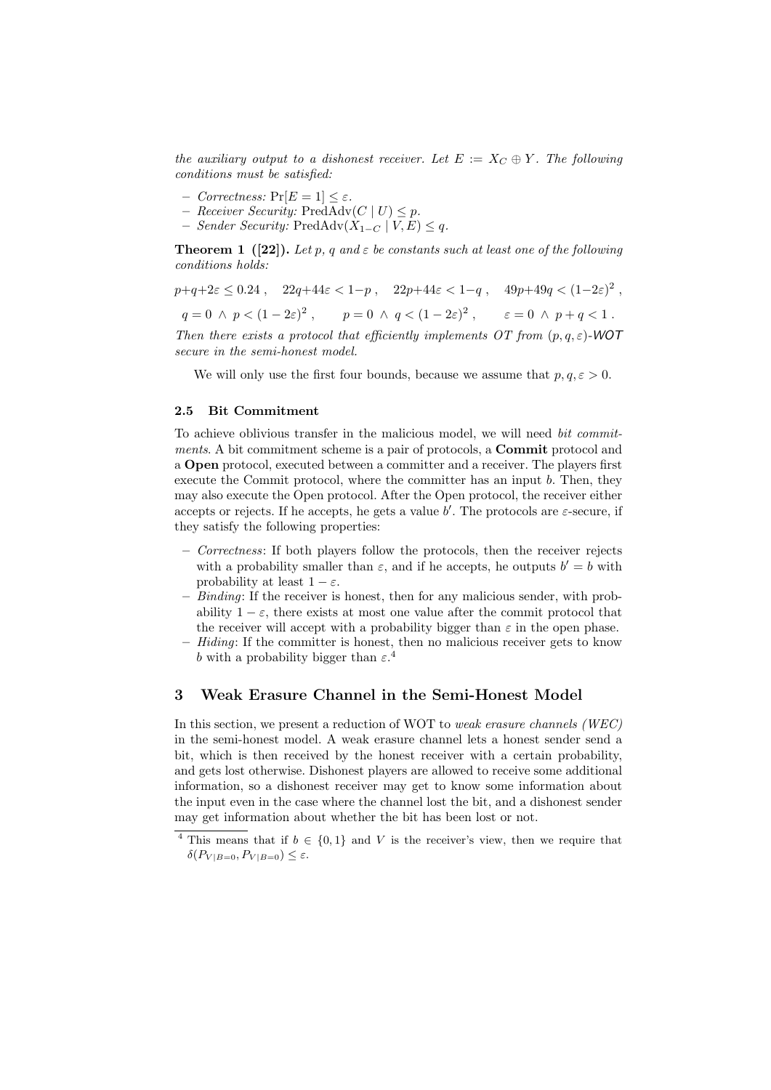the auxiliary output to a dishonest receiver. Let  $E := X_C \oplus Y$ . The following conditions must be satisfied:

- $-$  Correctness:  $Pr[E = 1] \leq \varepsilon$ .
- Receiver Security: PredAdv $(C | U) \leq p$ .
- Sender Security: PredAdv $(X_{1-C} | V, E)$  ≤ q.

**Theorem 1** ([22]). Let p, q and  $\varepsilon$  be constants such at least one of the following conditions holds:

| $p+q+2\varepsilon \leq 0.24$ , $22q+44\varepsilon < 1-p$ , $22p+44\varepsilon < 1-q$ , $49p+49q < (1-2\varepsilon)^2$ , |  |  |  |  |  |
|-------------------------------------------------------------------------------------------------------------------------|--|--|--|--|--|
| $q = 0 \land p < (1 - 2\varepsilon)^2$ , $p = 0 \land q < (1 - 2\varepsilon)^2$ , $\varepsilon = 0 \land p + q < 1$ .   |  |  |  |  |  |
| Then there exists a protocol that efficiently implements OT from $(p,q,\varepsilon)$ -WOT                               |  |  |  |  |  |
| secure in the semi-honest model.                                                                                        |  |  |  |  |  |

We will only use the first four bounds, because we assume that  $p, q, \varepsilon > 0$ .

### 2.5 Bit Commitment

To achieve oblivious transfer in the malicious model, we will need bit commitments. A bit commitment scheme is a pair of protocols, a Commit protocol and a Open protocol, executed between a committer and a receiver. The players first execute the Commit protocol, where the committer has an input  $b$ . Then, they may also execute the Open protocol. After the Open protocol, the receiver either accepts or rejects. If he accepts, he gets a value  $b'$ . The protocols are  $\varepsilon$ -secure, if they satisfy the following properties:

- Correctness: If both players follow the protocols, then the receiver rejects with a probability smaller than  $\varepsilon$ , and if he accepts, he outputs  $b' = b$  with probability at least  $1 - \varepsilon$ .
- Binding: If the receiver is honest, then for any malicious sender, with probability  $1 - \varepsilon$ , there exists at most one value after the commit protocol that the receiver will accept with a probability bigger than  $\varepsilon$  in the open phase.
- Hiding: If the committer is honest, then no malicious receiver gets to know b with a probability bigger than  $\varepsilon$ <sup>4</sup>

## 3 Weak Erasure Channel in the Semi-Honest Model

In this section, we present a reduction of WOT to weak erasure channels (WEC) in the semi-honest model. A weak erasure channel lets a honest sender send a bit, which is then received by the honest receiver with a certain probability, and gets lost otherwise. Dishonest players are allowed to receive some additional information, so a dishonest receiver may get to know some information about the input even in the case where the channel lost the bit, and a dishonest sender may get information about whether the bit has been lost or not.

<sup>&</sup>lt;sup>4</sup> This means that if  $b \in \{0,1\}$  and V is the receiver's view, then we require that  $\delta(P_{V|B=0}, P_{V|B=0}) \leq \varepsilon.$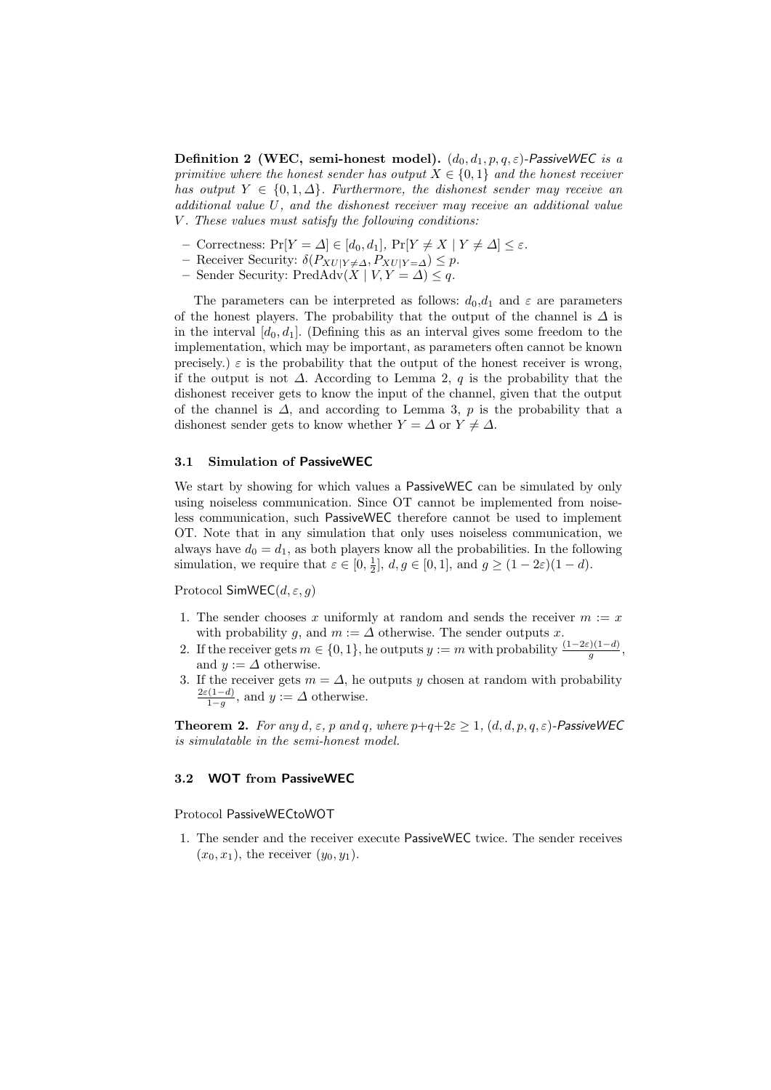**Definition 2 (WEC, semi-honest model).**  $(d_0, d_1, p, q, \varepsilon)$ -PassiveWEC is a primitive where the honest sender has output  $X \in \{0,1\}$  and the honest receiver has output  $Y \in \{0, 1, \Delta\}$ . Furthermore, the dishonest sender may receive an additional value U, and the dishonest receiver may receive an additional value V. These values must satisfy the following conditions:

- Correctness:  $Pr[Y = \Delta] \in [d_0, d_1]$ ,  $Pr[Y \neq X | Y \neq \Delta] \leq \varepsilon$ .
- Receiver Security:  $\delta(P_{XU|Y \neq \Delta}, P_{XU|Y = \Delta}) \leq p$ .
- Sender Security: PredAdv $(X \mid V, Y = \Delta) \leq q$ .

The parameters can be interpreted as follows:  $d_0, d_1$  and  $\varepsilon$  are parameters of the honest players. The probability that the output of the channel is  $\Delta$  is in the interval  $[d_0, d_1]$ . (Defining this as an interval gives some freedom to the implementation, which may be important, as parameters often cannot be known precisely.)  $\varepsilon$  is the probability that the output of the honest receiver is wrong, if the output is not  $\Delta$ . According to Lemma 2, q is the probability that the dishonest receiver gets to know the input of the channel, given that the output of the channel is  $\Delta$ , and according to Lemma 3, p is the probability that a dishonest sender gets to know whether  $Y = \Delta$  or  $Y \neq \Delta$ .

## 3.1 Simulation of PassiveWEC

We start by showing for which values a PassiveWEC can be simulated by only using noiseless communication. Since OT cannot be implemented from noiseless communication, such PassiveWEC therefore cannot be used to implement OT. Note that in any simulation that only uses noiseless communication, we always have  $d_0 = d_1$ , as both players know all the probabilities. In the following simulation, we require that  $\varepsilon \in [0, \frac{1}{2}], d, g \in [0, 1],$  and  $g \ge (1 - 2\varepsilon)(1 - d)$ .

Protocol SimWEC( $d, \varepsilon, g$ )

- 1. The sender chooses x uniformly at random and sends the receiver  $m := x$ with probability g, and  $m := \Delta$  otherwise. The sender outputs x.
- 2. If the receiver gets  $m \in \{0, 1\}$ , he outputs  $y := m$  with probability  $\frac{(1-2\varepsilon)(1-d)}{g}$ , and  $y := \Delta$  otherwise.
- 3. If the receiver gets  $m = \Delta$ , he outputs y chosen at random with probability  $2\varepsilon(1-d)$  $\frac{1-a}{1-g}$ , and  $y := \Delta$  otherwise.

**Theorem 2.** For any d,  $\varepsilon$ , p and q, where  $p+q+2\varepsilon \geq 1$ ,  $(d, d, p, q, \varepsilon)$ -PassiveWEC is simulatable in the semi-honest model.

## 3.2 WOT from PassiveWEC

### Protocol PassiveWECtoWOT

1. The sender and the receiver execute PassiveWEC twice. The sender receives  $(x_0, x_1)$ , the receiver  $(y_0, y_1)$ .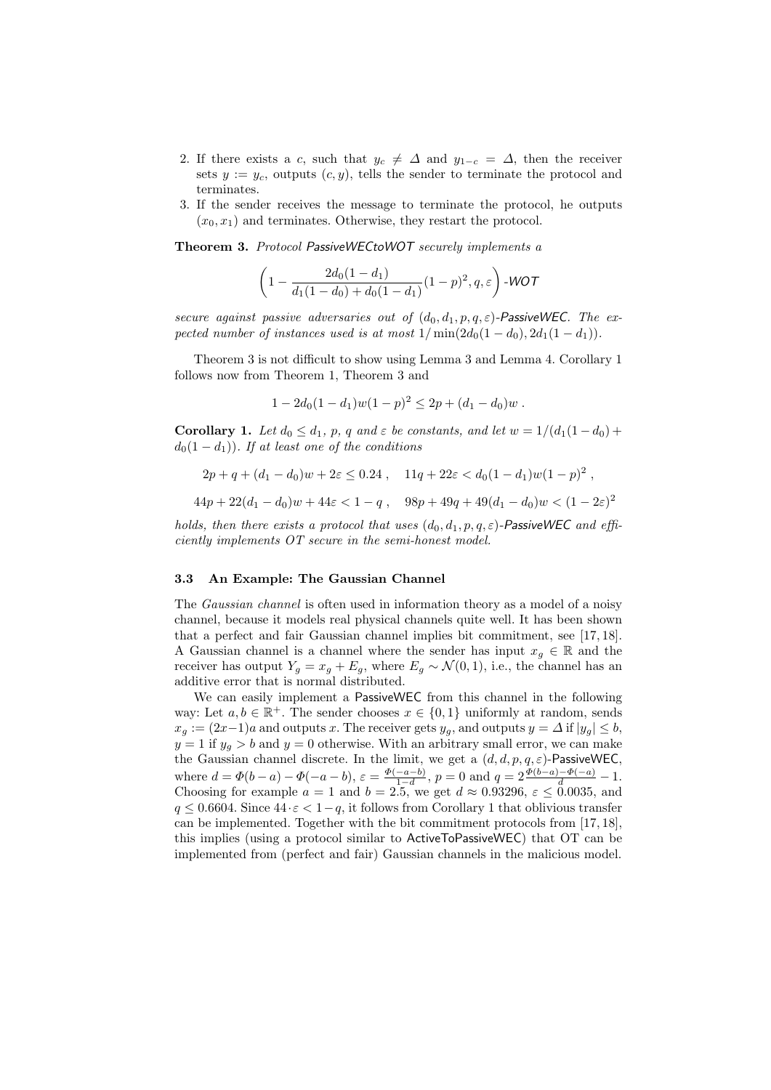- 2. If there exists a c, such that  $y_c \neq \Delta$  and  $y_{1-c} = \Delta$ , then the receiver sets  $y := y_c$ , outputs  $(c, y)$ , tells the sender to terminate the protocol and terminates.
- 3. If the sender receives the message to terminate the protocol, he outputs  $(x_0, x_1)$  and terminates. Otherwise, they restart the protocol.

Theorem 3. Protocol PassiveWECtoWOT securely implements a

$$
\left(1 - \frac{2d_0(1 - d_1)}{d_1(1 - d_0) + d_0(1 - d_1)}(1 - p)^2, q, \varepsilon\right) \text{-WOT}
$$

secure against passive adversaries out of  $(d_0, d_1, p, q, \varepsilon)$ -PassiveWEC. The expected number of instances used is at most  $1/\min(2d_0(1-d_0), 2d_1(1-d_1)).$ 

Theorem 3 is not difficult to show using Lemma 3 and Lemma 4. Corollary 1 follows now from Theorem 1, Theorem 3 and

$$
1 - 2d_0(1 - d_1)w(1 - p)^2 \le 2p + (d_1 - d_0)w.
$$

Corollary 1. Let  $d_0 \leq d_1$ , p, q and  $\varepsilon$  be constants, and let  $w = 1/(d_1(1-d_0)) +$  $d_0(1-d_1)$ . If at least one of the conditions

$$
2p + q + (d_1 - d_0)w + 2\varepsilon \le 0.24 , \quad 11q + 22\varepsilon < d_0(1 - d_1)w(1 - p)^2 ,
$$

 $44p + 22(d_1 - d_0)w + 44\varepsilon < 1 - q$ ,  $98p + 49q + 49(d_1 - d_0)w < (1 - 2\varepsilon)^2$ 

holds, then there exists a protocol that uses  $(d_0, d_1, p, q, \varepsilon)$ -PassiveWEC and efficiently implements OT secure in the semi-honest model.

#### 3.3 An Example: The Gaussian Channel

The Gaussian channel is often used in information theory as a model of a noisy channel, because it models real physical channels quite well. It has been shown that a perfect and fair Gaussian channel implies bit commitment, see [17, 18]. A Gaussian channel is a channel where the sender has input  $x_q \in \mathbb{R}$  and the receiver has output  $Y_g = x_g + E_g$ , where  $E_g \sim \mathcal{N}(0, 1)$ , i.e., the channel has an additive error that is normal distributed.

We can easily implement a PassiveWEC from this channel in the following way: Let  $a, b \in \mathbb{R}^+$ . The sender chooses  $x \in \{0, 1\}$  uniformly at random, sends  $x_g := (2x-1)a$  and outputs x. The receiver gets  $y_g$ , and outputs  $y = \Delta$  if  $|y_g| \leq b$ ,  $y = 1$  if  $y_g > b$  and  $y = 0$  otherwise. With an arbitrary small error, we can make the Gaussian channel discrete. In the limit, we get a  $(d, d, p, q, \varepsilon)$ -PassiveWEC, where  $d = \Phi(b-a) - \Phi(-a-b)$ ,  $\varepsilon = \frac{\Phi(-a-b)}{1-d}$  $\frac{(-a-b)}{1-d}$ ,  $p = 0$  and  $q = 2\frac{\Phi(b-a)-\Phi(-a)}{d} - 1$ . Choosing for example  $a = 1$  and  $b = 2.5$ , we get  $d \approx 0.93296$ ,  $\varepsilon \leq 0.0035$ , and  $q \leq 0.6604$ . Since  $44 \cdot \varepsilon < 1-q$ , it follows from Corollary 1 that oblivious transfer can be implemented. Together with the bit commitment protocols from [17, 18], this implies (using a protocol similar to ActiveToPassiveWEC) that OT can be implemented from (perfect and fair) Gaussian channels in the malicious model.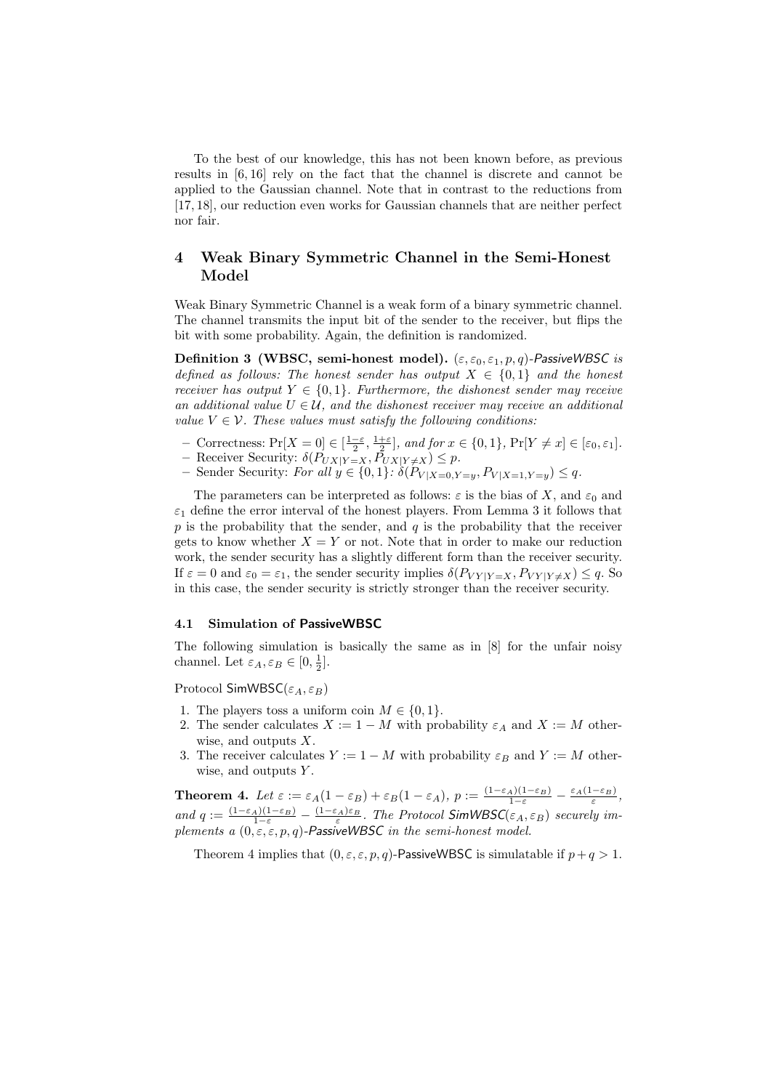To the best of our knowledge, this has not been known before, as previous results in [6, 16] rely on the fact that the channel is discrete and cannot be applied to the Gaussian channel. Note that in contrast to the reductions from [17, 18], our reduction even works for Gaussian channels that are neither perfect nor fair.

## 4 Weak Binary Symmetric Channel in the Semi-Honest Model

Weak Binary Symmetric Channel is a weak form of a binary symmetric channel. The channel transmits the input bit of the sender to the receiver, but flips the bit with some probability. Again, the definition is randomized.

Definition 3 (WBSC, semi-honest model).  $(\varepsilon, \varepsilon_0, \varepsilon_1, p, q)$ -PassiveWBSC is defined as follows: The honest sender has output  $X \in \{0,1\}$  and the honest receiver has output  $Y \in \{0,1\}$ . Furthermore, the dishonest sender may receive an additional value  $U \in \mathcal{U}$ , and the dishonest receiver may receive an additional value  $V \in \mathcal{V}$ . These values must satisfy the following conditions:

- $-$  Correctness: Pr[X = 0] ∈ [ $\frac{1-\varepsilon}{2}$ ,  $\frac{1+\varepsilon}{2}$ ], and for  $x \in \{0,1\}$ , Pr[Y ≠ x] ∈ [ $\varepsilon_0, \varepsilon_1$ ].
- Receiver Security:  $\delta(P_{UX|Y=X}, P_{UX|Y \neq X}) \leq p$ .
- Sender Security: For all  $y \in \{0,1\}$ :  $\delta(P_{V|X=0,Y=y}, P_{V|X=1,Y=y}) \leq q$ .

The parameters can be interpreted as follows:  $\varepsilon$  is the bias of X, and  $\varepsilon_0$  and  $\varepsilon_1$  define the error interval of the honest players. From Lemma 3 it follows that  $p$  is the probability that the sender, and  $q$  is the probability that the receiver gets to know whether  $X = Y$  or not. Note that in order to make our reduction work, the sender security has a slightly different form than the receiver security. If  $\varepsilon = 0$  and  $\varepsilon_0 = \varepsilon_1$ , the sender security implies  $\delta(P_{VY|Y=X}, P_{VY|Y=X}) \leq q$ . So in this case, the sender security is strictly stronger than the receiver security.

#### 4.1 Simulation of PassiveWBSC

The following simulation is basically the same as in [8] for the unfair noisy channel. Let  $\varepsilon_A, \varepsilon_B \in [0, \frac{1}{2}].$ 

Protocol SimWBSC( $\varepsilon_A, \varepsilon_B$ )

- 1. The players toss a uniform coin  $M \in \{0, 1\}.$
- 2. The sender calculates  $X := 1 M$  with probability  $\varepsilon_A$  and  $X := M$  otherwise, and outputs  $X$ .
- 3. The receiver calculates  $Y := 1 M$  with probability  $\varepsilon_B$  and  $Y := M$  otherwise, and outputs  $Y$ .

**Theorem 4.** Let  $\varepsilon := \varepsilon_A(1-\varepsilon_B) + \varepsilon_B(1-\varepsilon_A)$ ,  $p := \frac{(1-\varepsilon_A)(1-\varepsilon_B)}{1-\varepsilon} - \frac{\varepsilon_A(1-\varepsilon_B)}{\varepsilon}$ , and  $q := \frac{(1-\varepsilon_A)(1-\varepsilon_B)}{1-\varepsilon} - \frac{(1-\varepsilon_A)\varepsilon_B}{\varepsilon}$ . The Protocol SimWBSC( $\varepsilon_A, \varepsilon_B$ ) securely implements a  $(0, \varepsilon, \varepsilon, p, q)$ -PassiveWBSC in the semi-honest model.

Theorem 4 implies that  $(0, \varepsilon, \varepsilon, p, q)$ -PassiveWBSC is simulatable if  $p+q > 1$ .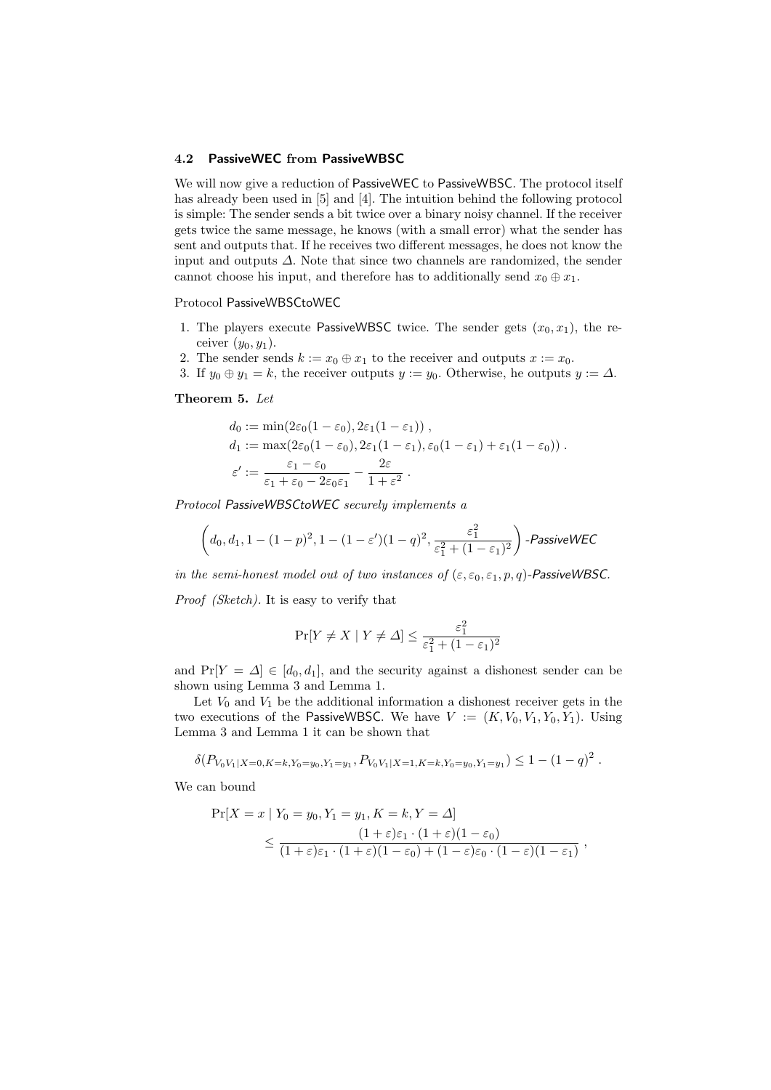#### 4.2 PassiveWEC from PassiveWBSC

We will now give a reduction of PassiveWEC to PassiveWBSC. The protocol itself has already been used in [5] and [4]. The intuition behind the following protocol is simple: The sender sends a bit twice over a binary noisy channel. If the receiver gets twice the same message, he knows (with a small error) what the sender has sent and outputs that. If he receives two different messages, he does not know the input and outputs  $\Delta$ . Note that since two channels are randomized, the sender cannot choose his input, and therefore has to additionally send  $x_0 \oplus x_1$ .

#### Protocol PassiveWBSCtoWEC

- 1. The players execute PassiveWBSC twice. The sender gets  $(x_0, x_1)$ , the receiver  $(y_0, y_1)$ .
- 2. The sender sends  $k := x_0 \oplus x_1$  to the receiver and outputs  $x := x_0$ .
- 3. If  $y_0 \oplus y_1 = k$ , the receiver outputs  $y := y_0$ . Otherwise, he outputs  $y := \Delta$ .

#### Theorem 5. Let

$$
d_0 := \min(2\varepsilon_0(1-\varepsilon_0), 2\varepsilon_1(1-\varepsilon_1)),
$$
  
\n
$$
d_1 := \max(2\varepsilon_0(1-\varepsilon_0), 2\varepsilon_1(1-\varepsilon_1), \varepsilon_0(1-\varepsilon_1) + \varepsilon_1(1-\varepsilon_0)).
$$
  
\n
$$
\varepsilon' := \frac{\varepsilon_1 - \varepsilon_0}{\varepsilon_1 + \varepsilon_0 - 2\varepsilon_0\varepsilon_1} - \frac{2\varepsilon}{1+\varepsilon^2}.
$$

Protocol PassiveWBSCtoWEC securely implements a

$$
\left(d_0, d_1, 1-(1-p)^2, 1-(1-\varepsilon')(1-q)^2, \frac{\varepsilon_1^2}{\varepsilon_1^2+(1-\varepsilon_1)^2}\right) \text{-}PassiveWEC
$$

in the semi-honest model out of two instances of  $(\varepsilon, \varepsilon_0, \varepsilon_1, p, q)$ -PassiveWBSC.

Proof (Sketch). It is easy to verify that

$$
\Pr[Y \neq X \mid Y \neq \Delta] \le \frac{\varepsilon_1^2}{\varepsilon_1^2 + (1 - \varepsilon_1)^2}
$$

and  $Pr[Y = \Delta] \in [d_0, d_1]$ , and the security against a dishonest sender can be shown using Lemma 3 and Lemma 1.

Let  $V_0$  and  $V_1$  be the additional information a dishonest receiver gets in the two executions of the PassiveWBSC. We have  $V := (K, V_0, V_1, Y_0, Y_1)$ . Using Lemma 3 and Lemma 1 it can be shown that

$$
\delta(P_{V_0V_1|X=0,K=k,Y_0=y_0,Y_1=y_1},P_{V_0V_1|X=1,K=k,Y_0=y_0,Y_1=y_1}) \leq 1-(1-q)^2.
$$

We can bound

$$
\Pr[X = x | Y_0 = y_0, Y_1 = y_1, K = k, Y = \Delta]
$$
  
\$\leq \frac{(1+\varepsilon)\varepsilon\_1 \cdot (1+\varepsilon)(1-\varepsilon\_0)}{(1+\varepsilon)\varepsilon\_1 \cdot (1+\varepsilon)(1-\varepsilon\_0) + (1-\varepsilon)\varepsilon\_0 \cdot (1-\varepsilon)(1-\varepsilon\_1)},\$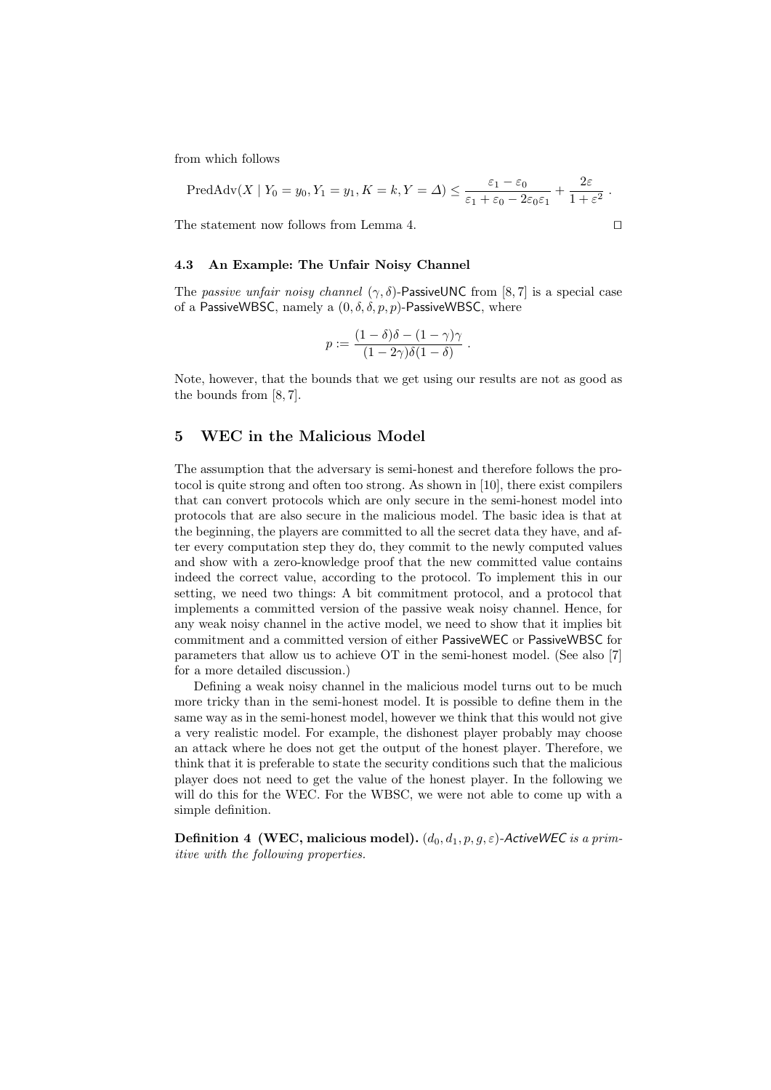from which follows

$$
\mathrm{PredAdv}(X \mid Y_0 = y_0, Y_1 = y_1, K = k, Y = \Delta) \le \frac{\varepsilon_1 - \varepsilon_0}{\varepsilon_1 + \varepsilon_0 - 2\varepsilon_0\varepsilon_1} + \frac{2\varepsilon}{1 + \varepsilon^2}.
$$

The statement now follows from Lemma 4.  $\Box$ 

#### 4.3 An Example: The Unfair Noisy Channel

The passive unfair noisy channel  $(\gamma, \delta)$ -PassiveUNC from [8, 7] is a special case of a PassiveWBSC, namely a  $(0, \delta, \delta, p, p)$ -PassiveWBSC, where

$$
p := \frac{(1 - \delta)\delta - (1 - \gamma)\gamma}{(1 - 2\gamma)\delta(1 - \delta)}.
$$

Note, however, that the bounds that we get using our results are not as good as the bounds from [8, 7].

## 5 WEC in the Malicious Model

The assumption that the adversary is semi-honest and therefore follows the protocol is quite strong and often too strong. As shown in [10], there exist compilers that can convert protocols which are only secure in the semi-honest model into protocols that are also secure in the malicious model. The basic idea is that at the beginning, the players are committed to all the secret data they have, and after every computation step they do, they commit to the newly computed values and show with a zero-knowledge proof that the new committed value contains indeed the correct value, according to the protocol. To implement this in our setting, we need two things: A bit commitment protocol, and a protocol that implements a committed version of the passive weak noisy channel. Hence, for any weak noisy channel in the active model, we need to show that it implies bit commitment and a committed version of either PassiveWEC or PassiveWBSC for parameters that allow us to achieve OT in the semi-honest model. (See also [7] for a more detailed discussion.)

Defining a weak noisy channel in the malicious model turns out to be much more tricky than in the semi-honest model. It is possible to define them in the same way as in the semi-honest model, however we think that this would not give a very realistic model. For example, the dishonest player probably may choose an attack where he does not get the output of the honest player. Therefore, we think that it is preferable to state the security conditions such that the malicious player does not need to get the value of the honest player. In the following we will do this for the WEC. For the WBSC, we were not able to come up with a simple definition.

**Definition 4 (WEC, malicious model).**  $(d_0, d_1, p, q, \varepsilon)$ -ActiveWEC is a primitive with the following properties.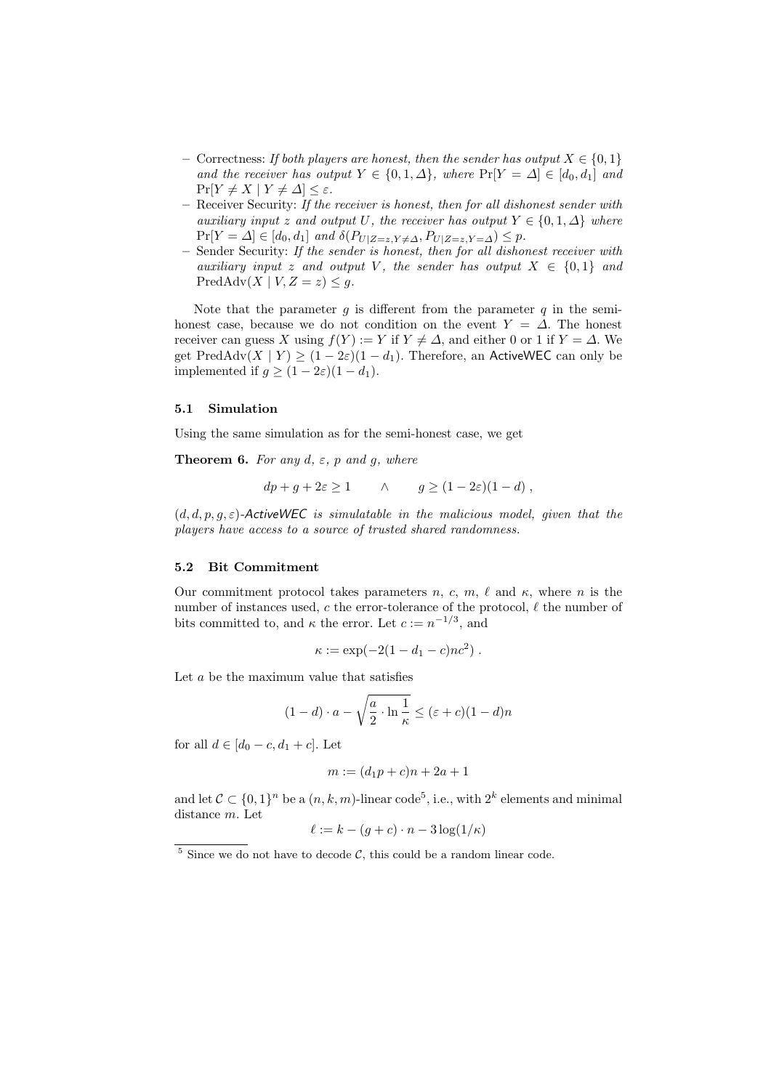- Correctness: If both players are honest, then the sender has output  $X \in \{0, 1\}$ and the receiver has output  $Y \in \{0, 1, \Delta\}$ , where  $\Pr[Y = \Delta] \in [d_0, d_1]$  and  $Pr[Y \neq X | Y \neq \Delta] \leq \varepsilon.$
- Receiver Security: If the receiver is honest, then for all dishonest sender with auxiliary input z and output U, the receiver has output  $Y \in \{0, 1, \Delta\}$  where  $Pr[Y = \Delta] \in [d_0, d_1]$  and  $\delta(P_{U|Z=z, Y \neq \Delta}, P_{U|Z=z, Y = \Delta}) \leq p$ .
- Sender Security: If the sender is honest, then for all dishonest receiver with auxiliary input z and output V, the sender has output  $X \in \{0,1\}$  and  $PredAdv(X | V, Z = z) \leq q.$

Note that the parameter  $g$  is different from the parameter  $q$  in the semihonest case, because we do not condition on the event  $Y = \Delta$ . The honest receiver can guess X using  $f(Y) := Y$  if  $Y \neq \Delta$ , and either 0 or 1 if  $Y = \Delta$ . We get PredAdv $(X | Y) \ge (1 - 2\varepsilon)(1 - d_1)$ . Therefore, an ActiveWEC can only be implemented if  $g \geq (1 - 2\varepsilon)(1 - d_1)$ .

#### 5.1 Simulation

Using the same simulation as for the semi-honest case, we get

**Theorem 6.** For any  $d, \varepsilon, p$  and  $g$ , where

$$
dp + g + 2\varepsilon \ge 1 \qquad \wedge \qquad g \ge (1 - 2\varepsilon)(1 - d) \;,
$$

 $(d, d, p, q, \varepsilon)$ -ActiveWEC is simulatable in the malicious model, given that the players have access to a source of trusted shared randomness.

### 5.2 Bit Commitment

Our commitment protocol takes parameters n, c, m,  $\ell$  and  $\kappa$ , where n is the number of instances used, c the error-tolerance of the protocol,  $\ell$  the number of bits committed to, and  $\kappa$  the error. Let  $c := n^{-1/3}$ , and

$$
\kappa := \exp(-2(1 - d_1 - c)nc^2) \; .
$$

Let a be the maximum value that satisfies

$$
(1-d) \cdot a - \sqrt{\frac{a}{2} \cdot \ln \frac{1}{\kappa}} \le (\varepsilon + c)(1-d)n
$$

for all  $d \in [d_0 - c, d_1 + c]$ . Let

$$
m := (d_1p + c)n + 2a + 1
$$

and let  $C \subset \{0,1\}^n$  be a  $(n, k, m)$ -linear code<sup>5</sup>, i.e., with  $2^k$  elements and minimal distance m. Let

$$
\ell := k - (g + c) \cdot n - 3\log(1/\kappa)
$$

 $5$  Since we do not have to decode C, this could be a random linear code.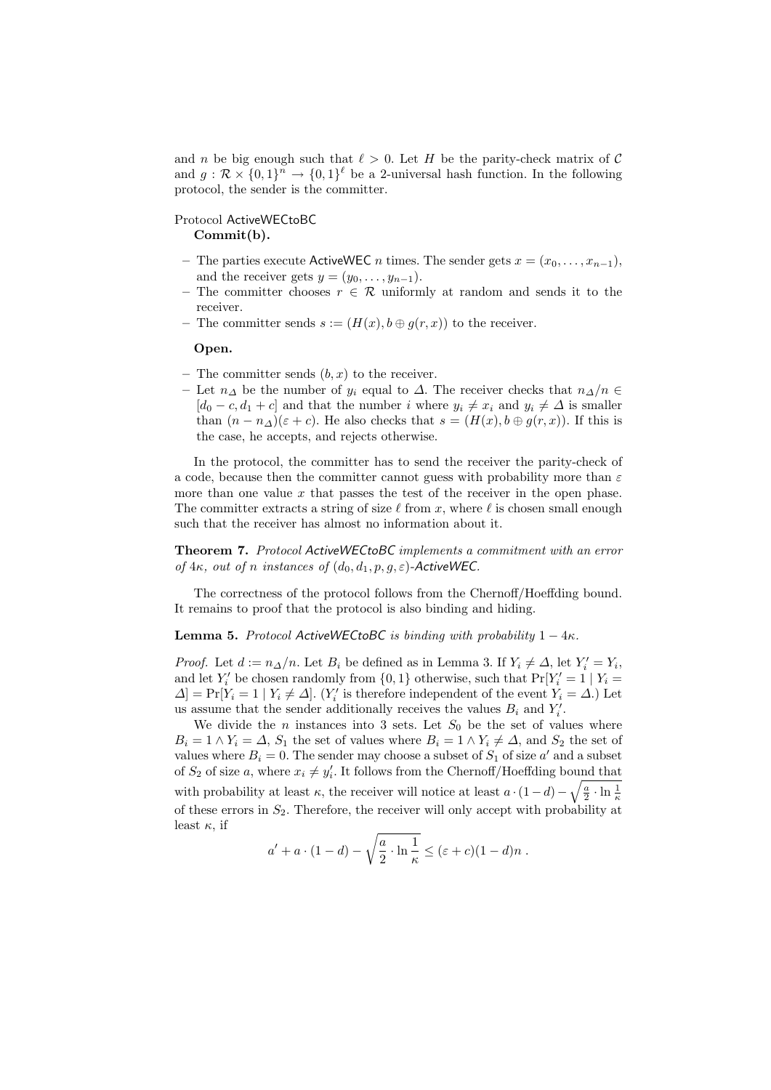and n be big enough such that  $\ell > 0$ . Let H be the parity-check matrix of C and  $g: \mathcal{R} \times \{0,1\}^n \to \{0,1\}^{\ell}$  be a 2-universal hash function. In the following protocol, the sender is the committer.

## Protocol ActiveWECtoBC Commit(b).

- The parties execute ActiveWEC *n* times. The sender gets  $x = (x_0, \ldots, x_{n-1})$ , and the receiver gets  $y = (y_0, \ldots, y_{n-1})$ .
- The committer chooses  $r \in \mathcal{R}$  uniformly at random and sends it to the receiver.
- The committer sends  $s := (H(x), b \oplus g(r, x))$  to the receiver.

#### Open.

- The committer sends  $(b, x)$  to the receiver.
- Let n<sup>∆</sup> be the number of y<sup>i</sup> equal to ∆. The receiver checks that n∆/n ∈  $[d_0 - c, d_1 + c]$  and that the number i where  $y_i \neq x_i$  and  $y_i \neq \Delta$  is smaller than  $(n - n<sub>\Delta</sub>)(\epsilon + c)$ . He also checks that  $s = (H(x), b \oplus g(r, x))$ . If this is the case, he accepts, and rejects otherwise.

In the protocol, the committer has to send the receiver the parity-check of a code, because then the committer cannot guess with probability more than  $\varepsilon$ more than one value  $x$  that passes the test of the receiver in the open phase. The committer extracts a string of size  $\ell$  from x, where  $\ell$  is chosen small enough such that the receiver has almost no information about it.

Theorem 7. Protocol ActiveWECtoBC implements a commitment with an error of  $4\kappa$ , out of n instances of  $(d_0, d_1, p, q, \varepsilon)$ -ActiveWEC.

The correctness of the protocol follows from the Chernoff/Hoeffding bound. It remains to proof that the protocol is also binding and hiding.

#### **Lemma 5.** Protocol ActiveWECtoBC is binding with probability  $1 - 4\kappa$ .

*Proof.* Let  $d := n_{\Delta}/n$ . Let  $B_i$  be defined as in Lemma 3. If  $Y_i \neq \Delta$ , let  $Y'_i = Y_i$ , and let  $Y_i'$  be chosen randomly from  $\{0,1\}$  otherwise, such that  $Pr[Y_i'=1 | Y_i = 1]$  $\Delta$ ] = Pr[Y<sub>i</sub> = 1 | Y<sub>i</sub>  $\neq \Delta$ ]. (Y'<sub>i</sub> is therefore independent of the event Y<sub>i</sub> =  $\Delta$ .) Let us assume that the sender additionally receives the values  $B_i$  and  $Y'_i$ .

We divide the *n* instances into 3 sets. Let  $S_0$  be the set of values where  $B_i = 1 \wedge Y_i = \Delta$ ,  $S_1$  the set of values where  $B_i = 1 \wedge Y_i \neq \Delta$ , and  $S_2$  the set of values where  $B_i = 0$ . The sender may choose a subset of  $S_1$  of size  $a'$  and a subset of  $S_2$  of size a, where  $x_i \neq y'_i$ . It follows from the Chernoff/Hoeffding bound that with probability at least  $\kappa$ , the receiver will notice at least  $a \cdot (1-d) - \sqrt{\frac{a}{2} \cdot \ln \frac{1}{\kappa}}$ of these errors in  $S_2$ . Therefore, the receiver will only accept with probability at least  $\kappa$ , if

$$
a' + a \cdot (1 - d) - \sqrt{\frac{a}{2} \cdot \ln \frac{1}{\kappa}} \le (\varepsilon + c)(1 - d)n.
$$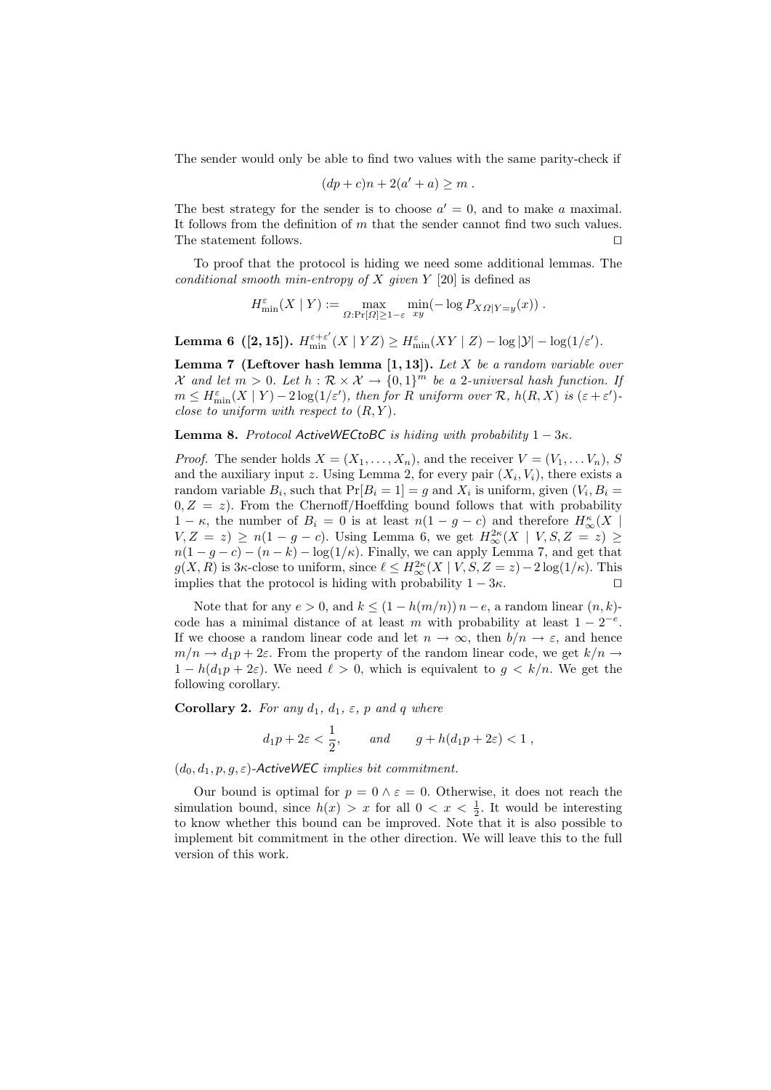The sender would only be able to find two values with the same parity-check if

$$
(dp+c)n + 2(a'+a) \ge m.
$$

The best strategy for the sender is to choose  $a' = 0$ , and to make a maximal. It follows from the definition of m that the sender cannot find two such values. The statement follows.  $\Box$ 

To proof that the protocol is hiding we need some additional lemmas. The conditional smooth min-entropy of X given  $Y$  [20] is defined as

$$
H_{\min}^{\varepsilon}(X \mid Y) := \max_{\Omega:\Pr[\Omega] \geq 1-\varepsilon} \min_{xy} (-\log P_{X\Omega|Y=y}(x)) \; .
$$

Lemma 6 ([2, 15]).  $H_{\min}^{\varepsilon+\varepsilon'}(X \mid YZ) \geq H_{\min}^{\varepsilon}(XY \mid Z) - \log|\mathcal{Y}| - \log(1/\varepsilon').$ 

Lemma 7 (Leftover hash lemma  $[1, 13]$ ). Let X be a random variable over X and let  $m > 0$ . Let  $h : \mathcal{R} \times \mathcal{X} \to \{0,1\}^m$  be a 2-universal hash function. If  $m \leq H_{\min}^{\varepsilon}(X \mid Y) - 2\log(1/\varepsilon'),$  then for R uniform over R,  $h(R, X)$  is  $(\varepsilon + \varepsilon').$ close to uniform with respect to  $(R, Y)$ .

#### **Lemma 8.** Protocol ActiveWECtoBC is hiding with probability  $1 - 3\kappa$ .

*Proof.* The sender holds  $X = (X_1, \ldots, X_n)$ , and the receiver  $V = (V_1, \ldots, V_n)$ , S and the auxiliary input z. Using Lemma 2, for every pair  $(X_i, V_i)$ , there exists a random variable  $B_i$ , such that  $Pr[B_i = 1] = g$  and  $X_i$  is uniform, given  $(V_i, B_i =$  $0, Z = z$ ). From the Chernoff/Hoeffding bound follows that with probability  $1 - \kappa$ , the number of  $B_i = 0$  is at least  $n(1 - g - c)$  and therefore  $H^{\kappa}_{\infty}(X)$  $V, Z = z$ )  $\ge n(1 - g - c)$ . Using Lemma 6, we get  $H_{\infty}^{2\kappa}(X | V, S, Z = z)$   $\ge$  $n(1 - g - c) - (n - k) - \log(1/\kappa)$ . Finally, we can apply Lemma 7, and get that  $g(X, R)$  is 3<sub>*k*</sub>-close to uniform, since  $\ell \leq H_{\infty}^{2\kappa}(X \mid V, S, Z = z) - 2 \log(1/\kappa)$ . This implies that the protocol is hiding with probability  $1 - 3\kappa$ .

Note that for any  $e > 0$ , and  $k \leq (1 - h(m/n)) n - e$ , a random linear  $(n, k)$ code has a minimal distance of at least m with probability at least  $1 - 2^{-e}$ . If we choose a random linear code and let  $n \to \infty$ , then  $b/n \to \varepsilon$ , and hence  $m/n \rightarrow d_1p + 2\varepsilon$ . From the property of the random linear code, we get  $k/n \rightarrow$  $1 - h(d_1p + 2\varepsilon)$ . We need  $\ell > 0$ , which is equivalent to  $g < k/n$ . We get the following corollary.

Corollary 2. For any  $d_1, d_1, \varepsilon$ , p and q where

$$
d_1p+2\varepsilon < \frac{1}{2}, \qquad and \qquad g+h(d_1p+2\varepsilon) < 1 ,
$$

 $(d_0, d_1, p, g, \varepsilon)$ -ActiveWEC implies bit commitment.

Our bound is optimal for  $p = 0 \wedge \varepsilon = 0$ . Otherwise, it does not reach the simulation bound, since  $h(x) > x$  for all  $0 < x < \frac{1}{2}$ . It would be interesting to know whether this bound can be improved. Note that it is also possible to implement bit commitment in the other direction. We will leave this to the full version of this work.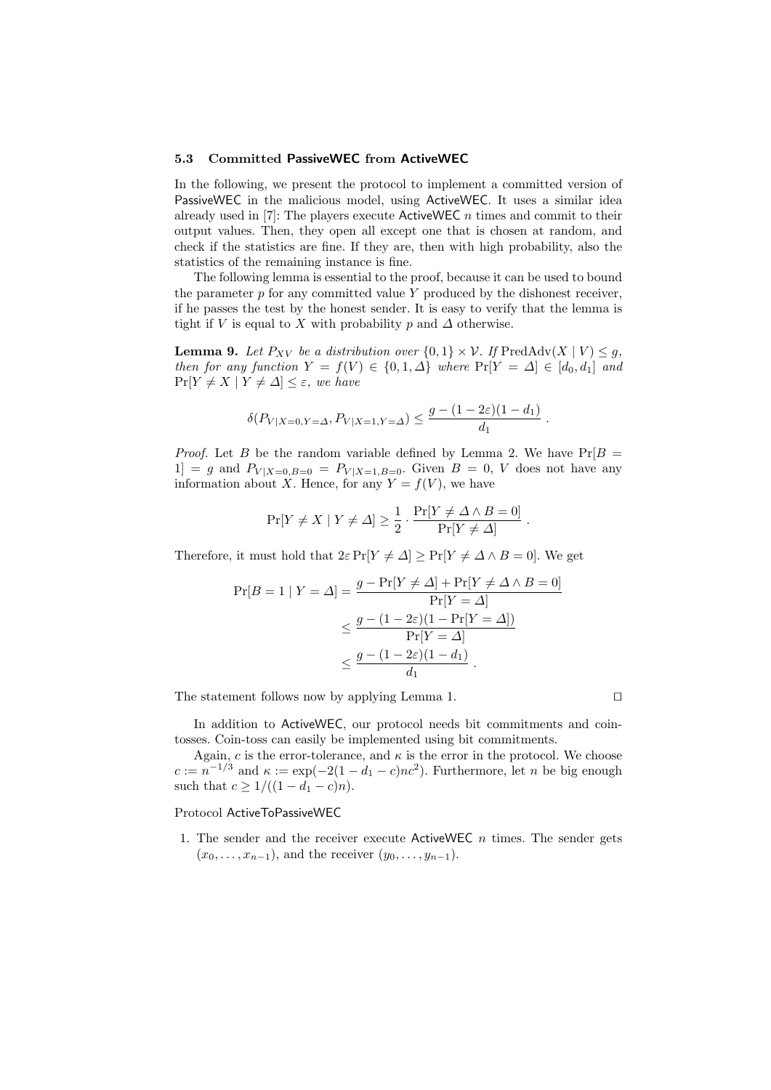#### 5.3 Committed PassiveWEC from ActiveWEC

In the following, we present the protocol to implement a committed version of PassiveWEC in the malicious model, using ActiveWEC. It uses a similar idea already used in [7]: The players execute  $\wedge$  ActiveWEC n times and commit to their output values. Then, they open all except one that is chosen at random, and check if the statistics are fine. If they are, then with high probability, also the statistics of the remaining instance is fine.

The following lemma is essential to the proof, because it can be used to bound the parameter  $p$  for any committed value  $Y$  produced by the dishonest receiver, if he passes the test by the honest sender. It is easy to verify that the lemma is tight if V is equal to X with probability p and  $\Delta$  otherwise.

**Lemma 9.** Let  $P_{XV}$  be a distribution over  $\{0,1\} \times V$ . If  $\text{PredAdv}(X | V) \leq q$ , then for any function  $Y = f(V) \in \{0, 1, \Delta\}$  where  $\Pr[Y = \Delta] \in [d_0, d_1]$  and  $Pr[Y \neq X | Y \neq \Delta] \leq \varepsilon$ , we have

$$
\delta(P_{V|X=0,Y=\varDelta},P_{V|X=1,Y=\varDelta})\leq \frac{g-(1-2\varepsilon)(1-d_1)}{d_1}
$$

*Proof.* Let B be the random variable defined by Lemma 2. We have  $Pr[B =$  $1] = g$  and  $P_{V|X=0,B=0} = P_{V|X=1,B=0}$ . Given  $B = 0, V$  does not have any information about X. Hence, for any  $Y = f(V)$ , we have

$$
\Pr[Y \neq X \mid Y \neq \varDelta] \geq \frac{1}{2} \cdot \frac{\Pr[Y \neq \varDelta \wedge B = 0]}{\Pr[Y \neq \varDelta]}
$$

Therefore, it must hold that  $2\varepsilon \Pr[Y \neq \Delta] \geq \Pr[Y \neq \Delta \wedge B = 0]$ . We get

$$
\Pr[B=1 | Y = \Delta] = \frac{g - \Pr[Y \neq \Delta] + \Pr[Y \neq \Delta \wedge B = 0]}{\Pr[Y = \Delta]} \\
\leq \frac{g - (1 - 2\varepsilon)(1 - \Pr[Y = \Delta])}{\Pr[Y = \Delta]} \\
\leq \frac{g - (1 - 2\varepsilon)(1 - d_1)}{d_1}.
$$

The statement follows now by applying Lemma 1.  $\Box$ 

.

.

In addition to ActiveWEC, our protocol needs bit commitments and cointosses. Coin-toss can easily be implemented using bit commitments.

Again, c is the error-tolerance, and  $\kappa$  is the error in the protocol. We choose  $c := n^{-1/3}$  and  $\kappa := \exp(-2(1 - d_1 - c)nc^2)$ . Furthermore, let n be big enough such that  $c > 1/((1 - d_1 - c)n)$ .

### Protocol ActiveToPassiveWEC

1. The sender and the receiver execute  $\overline{ActiveWEC}$  *n* times. The sender gets  $(x_0, \ldots, x_{n-1})$ , and the receiver  $(y_0, \ldots, y_{n-1})$ .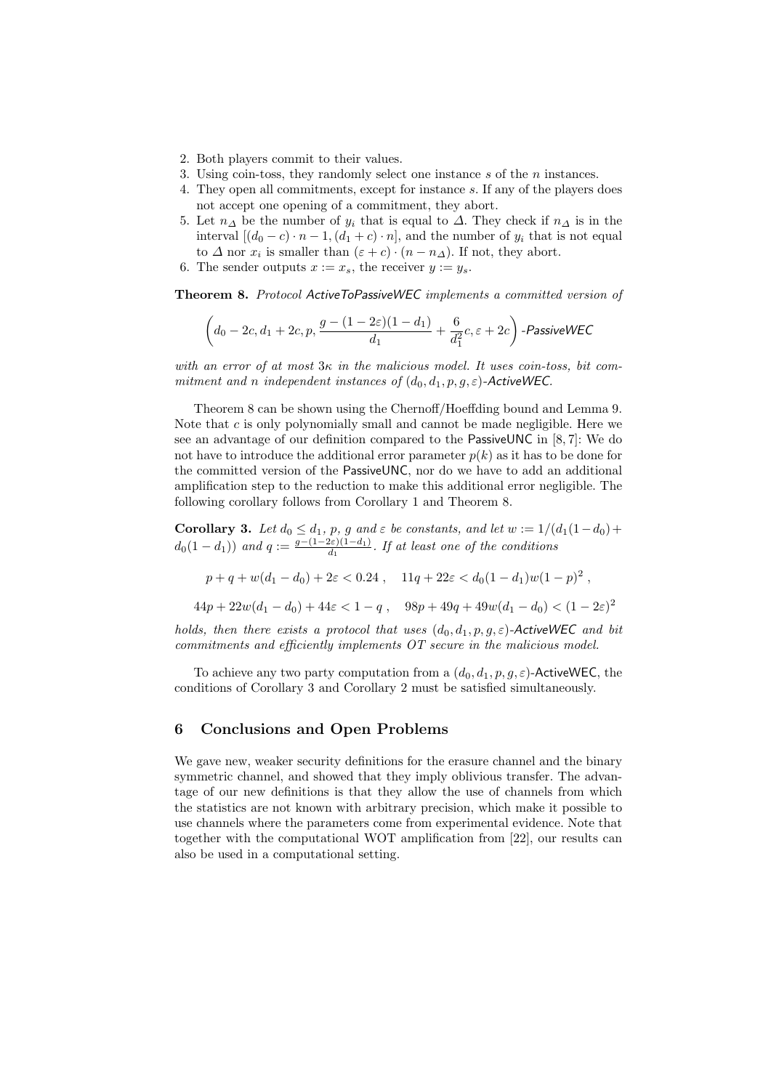- 2. Both players commit to their values.
- 3. Using coin-toss, they randomly select one instance s of the n instances.
- 4. They open all commitments, except for instance s. If any of the players does not accept one opening of a commitment, they abort.
- 5. Let  $n_{\Delta}$  be the number of  $y_i$  that is equal to  $\Delta$ . They check if  $n_{\Delta}$  is in the interval  $[(d_0 - c) \cdot n - 1, (d_1 + c) \cdot n]$ , and the number of  $y_i$  that is not equal to  $\Delta$  nor  $x_i$  is smaller than  $(\varepsilon + c) \cdot (n - n_{\Delta})$ . If not, they abort.
- 6. The sender outputs  $x := x_s$ , the receiver  $y := y_s$ .

Theorem 8. Protocol ActiveToPassiveWEC implements a committed version of

$$
\left(d_0 - 2c, d_1 + 2c, p, \frac{g - (1 - 2\varepsilon)(1 - d_1)}{d_1} + \frac{6}{d_1^2}c, \varepsilon + 2c\right) \text{-}PassiveWEC
$$

with an error of at most 3κ in the malicious model. It uses coin-toss, bit commitment and n independent instances of  $(d_0, d_1, p, q, \varepsilon)$ -ActiveWEC.

Theorem 8 can be shown using the Chernoff/Hoeffding bound and Lemma 9. Note that  $c$  is only polynomially small and cannot be made negligible. Here we see an advantage of our definition compared to the PassiveUNC in [8, 7]: We do not have to introduce the additional error parameter  $p(k)$  as it has to be done for the committed version of the PassiveUNC, nor do we have to add an additional amplification step to the reduction to make this additional error negligible. The following corollary follows from Corollary 1 and Theorem 8.

**Corollary 3.** Let  $d_0 \leq d_1$ , p, g and  $\varepsilon$  be constants, and let  $w := 1/(d_1(1-d_0) +$  $d_0(1-d_1)$  and  $q:=\frac{g-(1-2\varepsilon)(1-d_1)}{d_1}$  $\frac{d\mathcal{E}(\mathbf{1}-\mathbf{a}_1)}{d_1}$ . If at least one of the conditions

$$
p + q + w(d_1 - d_0) + 2\varepsilon < 0.24 \,, \quad 11q + 22\varepsilon < d_0(1 - d_1)w(1 - p)^2 \,,
$$

$$
44p + 22w(d_1 - d_0) + 44\varepsilon < 1 - q , \quad 98p + 49q + 49w(d_1 - d_0) < (1 - 2\varepsilon)^2
$$

holds, then there exists a protocol that uses  $(d_0, d_1, p, g, \varepsilon)$ -ActiveWEC and bit commitments and efficiently implements OT secure in the malicious model.

To achieve any two party computation from a  $(d_0, d_1, p, g, \varepsilon)$ -ActiveWEC, the conditions of Corollary 3 and Corollary 2 must be satisfied simultaneously.

## 6 Conclusions and Open Problems

We gave new, weaker security definitions for the erasure channel and the binary symmetric channel, and showed that they imply oblivious transfer. The advantage of our new definitions is that they allow the use of channels from which the statistics are not known with arbitrary precision, which make it possible to use channels where the parameters come from experimental evidence. Note that together with the computational WOT amplification from [22], our results can also be used in a computational setting.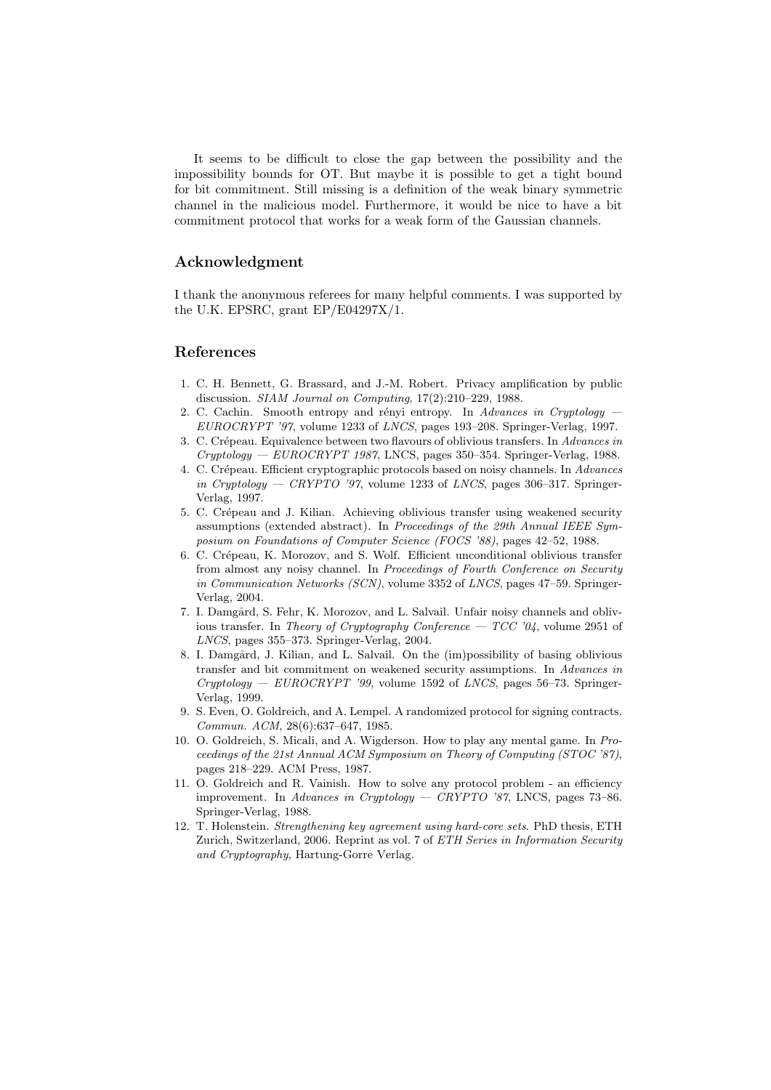It seems to be difficult to close the gap between the possibility and the impossibility bounds for OT. But maybe it is possible to get a tight bound for bit commitment. Still missing is a definition of the weak binary symmetric channel in the malicious model. Furthermore, it would be nice to have a bit commitment protocol that works for a weak form of the Gaussian channels.

## Acknowledgment

I thank the anonymous referees for many helpful comments. I was supported by the U.K. EPSRC, grant EP/E04297X/1.

## References

- 1. C. H. Bennett, G. Brassard, and J.-M. Robert. Privacy amplification by public discussion. SIAM Journal on Computing, 17(2):210–229, 1988.
- 2. C. Cachin. Smooth entropy and rényi entropy. In Advances in Cryptology  $-$ EUROCRYPT '97, volume 1233 of LNCS, pages 193–208. Springer-Verlag, 1997.
- 3. C. Crépeau. Equivalence between two flavours of oblivious transfers. In Advances in  $Cryptology - EUROCRYPT 1987$ , LNCS, pages 350-354. Springer-Verlag, 1988.
- 4. C. Crépeau. Efficient cryptographic protocols based on noisy channels. In Advances in Cryptology — CRYPTO '97, volume 1233 of LNCS, pages 306–317. Springer-Verlag, 1997.
- 5. C. Crépeau and J. Kilian. Achieving oblivious transfer using weakened security assumptions (extended abstract). In Proceedings of the 29th Annual IEEE Symposium on Foundations of Computer Science (FOCS '88), pages 42–52, 1988.
- 6. C. Cr´epeau, K. Morozov, and S. Wolf. Efficient unconditional oblivious transfer from almost any noisy channel. In Proceedings of Fourth Conference on Security in Communication Networks (SCN), volume 3352 of LNCS, pages 47–59. Springer-Verlag, 2004.
- 7. I. Damgård, S. Fehr, K. Morozov, and L. Salvail. Unfair noisy channels and oblivious transfer. In Theory of Cryptography Conference — TCC '04, volume 2951 of LNCS, pages 355–373. Springer-Verlag, 2004.
- 8. I. Damgård, J. Kilian, and L. Salvail. On the (im)possibility of basing oblivious transfer and bit commitment on weakened security assumptions. In Advances in  $Cryptology - EUROCRYPT'39$ , volume 1592 of LNCS, pages 56–73. Springer-Verlag, 1999.
- 9. S. Even, O. Goldreich, and A. Lempel. A randomized protocol for signing contracts. Commun. ACM, 28(6):637–647, 1985.
- 10. O. Goldreich, S. Micali, and A. Wigderson. How to play any mental game. In Proceedings of the 21st Annual ACM Symposium on Theory of Computing (STOC '87), pages 218–229. ACM Press, 1987.
- 11. O. Goldreich and R. Vainish. How to solve any protocol problem an efficiency improvement. In Advances in Cryptology — CRYPTO '87, LNCS, pages 73–86. Springer-Verlag, 1988.
- 12. T. Holenstein. Strengthening key agreement using hard-core sets. PhD thesis, ETH Zurich, Switzerland, 2006. Reprint as vol. 7 of ETH Series in Information Security and Cryptography, Hartung-Gorre Verlag.